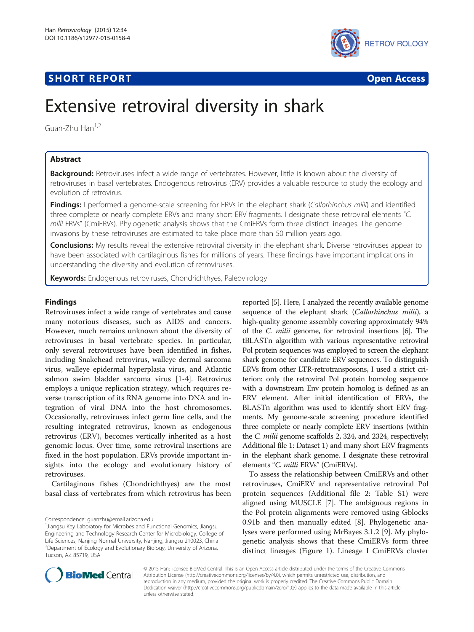# **SHORT REPORT CONTRACT CONTRACT CONTRACT CONTRACT CONTRACT CONTRACT CONTRACT CONTRACT CONTRACT CONTRACT CONTRACT CONTRACT CONTRACT CONTRACT CONTRACT CONTRACT CONTRACT CONTRACT CONTRACT CONTRACT CONTRACT CONTRACT CONTRACT C**



# Extensive retroviral diversity in shark

Guan-Zhu Han<sup>1,2</sup>

# Abstract

Background: Retroviruses infect a wide range of vertebrates. However, little is known about the diversity of retroviruses in basal vertebrates. Endogenous retrovirus (ERV) provides a valuable resource to study the ecology and evolution of retrovirus.

Findings: I performed a genome-scale screening for ERVs in the elephant shark (Callorhinchus milii) and identified three complete or nearly complete ERVs and many short ERV fragments. I designate these retroviral elements "C. milli ERVs" (CmiERVs). Phylogenetic analysis shows that the CmiERVs form three distinct lineages. The genome invasions by these retroviruses are estimated to take place more than 50 million years ago.

Conclusions: My results reveal the extensive retroviral diversity in the elephant shark. Diverse retroviruses appear to have been associated with cartilaginous fishes for millions of years. These findings have important implications in understanding the diversity and evolution of retroviruses.

Keywords: Endogenous retroviruses, Chondrichthyes, Paleovirology

# Findings

Retroviruses infect a wide range of vertebrates and cause many notorious diseases, such as AIDS and cancers. However, much remains unknown about the diversity of retroviruses in basal vertebrate species. In particular, only several retroviruses have been identified in fishes, including Snakehead retrovirus, walleye dermal sarcoma virus, walleye epidermal hyperplasia virus, and Atlantic salmon swim bladder sarcoma virus [[1-4](#page-3-0)]. Retrovirus employs a unique replication strategy, which requires reverse transcription of its RNA genome into DNA and integration of viral DNA into the host chromosomes. Occasionally, retroviruses infect germ line cells, and the resulting integrated retrovirus, known as endogenous retrovirus (ERV), becomes vertically inherited as a host genomic locus. Over time, some retroviral insertions are fixed in the host population. ERVs provide important insights into the ecology and evolutionary history of retroviruses.

Cartilaginous fishes (Chondrichthyes) are the most basal class of vertebrates from which retrovirus has been

Correspondence: [guanzhu@email.arizona.edu](mailto:guanzhu@email.arizona.edu) <sup>1</sup>

reported [\[5\]](#page-3-0). Here, I analyzed the recently available genome sequence of the elephant shark (Callorhinchus milii), a high-quality genome assembly covering approximately 94% of the C. milii genome, for retroviral insertions [[6](#page-3-0)]. The tBLASTn algorithm with various representative retroviral Pol protein sequences was employed to screen the elephant shark genome for candidate ERV sequences. To distinguish ERVs from other LTR-retrotransposons, I used a strict criterion: only the retroviral Pol protein homolog sequence with a downstream Env protein homolog is defined as an ERV element. After initial identification of ERVs, the BLASTn algorithm was used to identify short ERV fragments. My genome-scale screening procedure identified three complete or nearly complete ERV insertions (within the C. milii genome scaffolds 2, 324, and 2324, respectively; Additional file [1:](#page-3-0) Dataset 1) and many short ERV fragments in the elephant shark genome. I designate these retroviral elements "C. milli ERVs" (CmiERVs).

To assess the relationship between CmiERVs and other retroviruses, CmiERV and representative retroviral Pol protein sequences (Additional file [2:](#page-3-0) Table S1) were aligned using MUSCLE [[7\]](#page-3-0). The ambiguous regions in the Pol protein alignments were removed using Gblocks 0.91b and then manually edited [\[8](#page-3-0)]. Phylogenetic analyses were performed using MrBayes 3.1.2 [[9\]](#page-3-0). My phylogenetic analysis shows that these CmiERVs form three distinct lineages (Figure [1\)](#page-2-0). Lineage I CmiERVs cluster



© 2015 Han; licensee BioMed Central. This is an Open Access article distributed under the terms of the Creative Commons Attribution License (<http://creativecommons.org/licenses/by/4.0>), which permits unrestricted use, distribution, and reproduction in any medium, provided the original work is properly credited. The Creative Commons Public Domain Dedication waiver [\(http://creativecommons.org/publicdomain/zero/1.0/](http://creativecommons.org/publicdomain/zero/1.0/)) applies to the data made available in this article, unless otherwise stated.

<sup>&</sup>lt;sup>1</sup> Jiangsu Key Laboratory for Microbes and Functional Genomics, Jiangsu Engineering and Technology Research Center for Microbiology, College of Life Sciences, Nanjing Normal University, Nanjing, Jiangsu 210023, China 2 Department of Ecology and Evolutionary Biology, University of Arizona, Tucson, AZ 85719, USA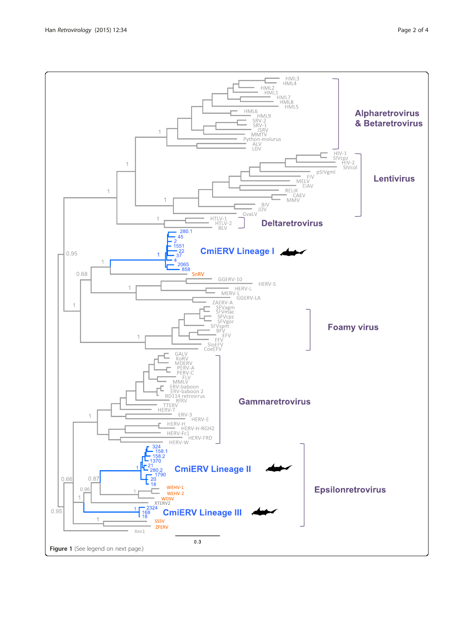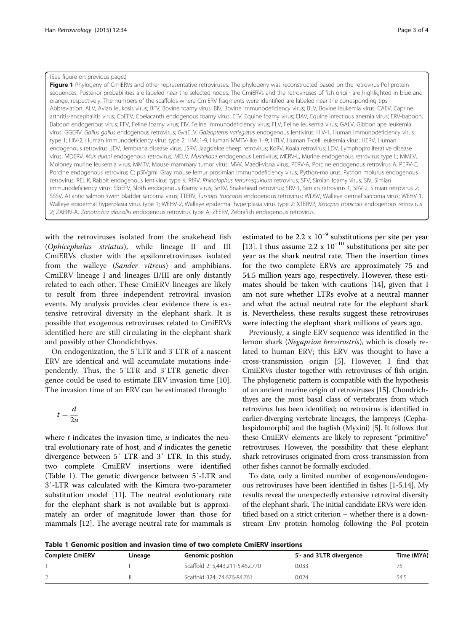#### <span id="page-2-0"></span>(See figure on previous page.)

Figure 1 Phylogeny of CmiERVs and other representative retroviruses. The phylogeny was reconstructed based on the retrovirus Pol protein sequences. Posterior probabilities are labeled near the selected nodes. The CmiERVs and the retroviruses of fish origin are highlighted in blue and orange, respectively. The numbers of the scaffolds where CmiERV fragments were identified are labeled near the corresponding tips. Abbreviation: ALV, Avian leukosis virus; BFV, Bovine foamy virus; BIV, Bovine immunodeficiency virus; BLV, Bovine leukemia virus; CAEV, Caprine arthritis-encephalitis virus; CoEFV, Coelacanth endogenous foamy virus; EFV, Equine foamy virus; EIAV, Equine infectious anemia virus; ERV-baboon, Baboon endogenous virus; FFV, Feline foamy virus; FIV, Feline immunodeficiency virus; FLV, Feline leukemia virus; GALV, Gibbon ape leukemia virus; GGERV, Gallus gallus endogenous retrovirus; GvaELV, Galeopterus variegatus endogenous lentivirus; HIV-1, Human immunodeficiency virus type 1; HIV-2, Human immunodeficiency virus type 2; HML1-9, Human MMTV-like 1–9; HTLV, Human T-cell leukemia virus; HERV, Human endogenous retrovirus; JDV, Jembrana disease virus; JSRV, Jaagsiekte sheep retrovirus; KoRV, Koala retrovirus; LDV, Lymphoproliferative disease virus; MDERV, Mus dunni endogenous retrovirus; MELV, Mustelidae endogenous Lentivirus; MERV-L, Murine endogenous retrovirus type L; MMLV, Moloney murine leukemia virus; MMTV, Mouse mammary tumor virus; MVV, Maedi-visna virus; PERV-A, Porcine endogenous retrovirus A; PERV-C, Porcine endogenous retrovirus C; pSIVgml, Gray mouse lemur prosimian immunodeficiency virus; Python-molurus, Python molurus endogenous retrovirus; RELIK, Rabbit endogenous lentivirus type K; RfRV, Rhinolophus ferrumequinum retrovirus; SFV, Simian foamy virus; SIV, Simian immunodeficiency virus; SloEFV, Sloth endogenous foamy virus; SnRV, Snakehead retrovirus; SRV-1, Simian retrovirus 1; SRV-2, Simian retrovirus 2; SSSV, Atlantic salmon swim bladder sarcoma virus; TTERV, Tursiops truncatus endogenous retrovirus; WDSV, Walleye dermal sarcoma virus; WEHV-1, Walleye epidermal hyperplasia virus type 1; WEHV-2, Walleye epidermal hyperplasia virus type 2; XTERV2, Xenopus tropicalis endogenous retrovirus 2; ZAERV-A, Zonotrichia albicollis endogenous retrovirus type A; ZFERV, Zebrafish endogenous retrovirus.

with the retroviruses isolated from the snakehead fish (Ophicephalus striatus), while lineage II and III CmiERVs cluster with the epsilonretroviruses isolated from the walleye (Sander vitreus) and amphibians. CmiERV lineage I and lineages II/III are only distantly related to each other. These CmiERV lineages are likely to result from three independent retroviral invasion events. My analysis provides clear evidence there is extensive retroviral diversity in the elephant shark. It is possible that exogenous retroviruses related to CmiERVs identified here are still circulating in the elephant shark and possibly other Chondichthyes.

On endogenization, the 5′LTR and 3′LTR of a nascent ERV are identical and will accumulate mutations independently. Thus, the 5′LTR and 3′LTR genetic divergence could be used to estimate ERV invasion time [\[10](#page-3-0)]. The invasion time of an ERV can be estimated through:

$$
t = \frac{d}{2u}
$$

where  $t$  indicates the invasion time,  $u$  indicates the neutral evolutionary rate of host, and  $d$  indicates the genetic divergence between 5′ LTR and 3′ LTR. In this study, two complete CmiERV insertions were identified (Table 1). The genetic divergence between 5′-LTR and 3′-LTR was calculated with the Kimura two-parameter substitution model [[11\]](#page-3-0). The neutral evolutionary rate for the elephant shark is not available but is approximately an order of magnitude lower than those for mammals [[12\]](#page-3-0). The average neutral rate for mammals is

estimated to be 2.2 x 10−<sup>9</sup> substitutions per site per year [[13\]](#page-3-0). I thus assume 2.2 x  $10^{-10}$  substitutions per site per year as the shark neutral rate. Then the insertion times for the two complete ERVs are approximately 75 and 54.5 million years ago, respectively. However, these estimates should be taken with cautions [\[14](#page-3-0)], given that I am not sure whether LTRs evolve at a neutral manner and what the actual neutral rate for the elephant shark is. Nevertheless, these results suggest these retroviruses were infecting the elephant shark millions of years ago.

Previously, a single ERV sequence was identified in the lemon shark (Negaprion brevirostris), which is closely related to human ERV; this ERV was thought to have a cross-transmission origin [[5\]](#page-3-0). However, I find that CmiERVs cluster together with retroviruses of fish origin. The phylogenetic pattern is compatible with the hypothesis of an ancient marine origin of retroviruses [\[15](#page-3-0)]. Chondrichthyes are the most basal class of vertebrates from which retrovirus has been identified; no retrovirus is identified in earlier-diverging vertebrate lineages, the lampreys (Cephalaspidomorphi) and the hagfish (Myxini) [[5](#page-3-0)]. It follows that these CmiERV elements are likely to represent "primitive" retroviruses. However, the possibility that these elephant shark retroviruses originated from cross-transmission from other fishes cannot be formally excluded.

To date, only a limited number of exogenous/endogenous retroviruses have been identified in fishes [[1-5,14\]](#page-3-0). My results reveal the unexpectedly extensive retroviral diversity of the elephant shark. The initial candidate ERVs were identified based on a strict criterion – whether there is a downstream Env protein homolog following the Pol protein

Table 1 Genomic position and invasion time of two complete CmiERV insertions

| Complete CmiERV | Lineage | <b>Genomic position</b>         | 5'- and 3'LTR divergence | Time (MYA) |
|-----------------|---------|---------------------------------|--------------------------|------------|
|                 |         | Scaffold 2: 5,443,211-5,452,770 | 0.033                    |            |
|                 |         | Scaffold 324: 74,676-84,761     | 0.024                    | 54.5       |